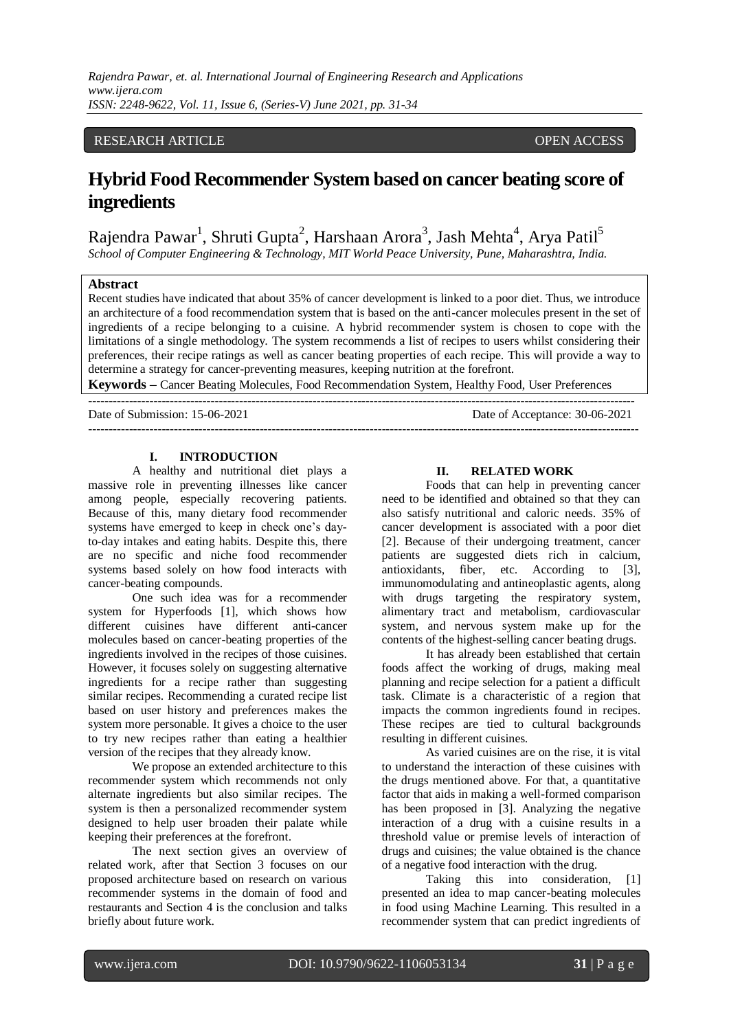## RESEARCH ARTICLE OPEN ACCESS

# **Hybrid Food Recommender System based on cancer beating score of ingredients**

Rajendra Pawar<sup>1</sup>, Shruti Gupta<sup>2</sup>, Harshaan Arora<sup>3</sup>, Jash Mehta<sup>4</sup>, Arya Patil<sup>5</sup> *School of Computer Engineering & Technology, MIT World Peace University, Pune, Maharashtra, India.*

## **Abstract**

Recent studies have indicated that about 35% of cancer development is linked to a poor diet. Thus, we introduce an architecture of a food recommendation system that is based on the anti-cancer molecules present in the set of ingredients of a recipe belonging to a cuisine. A hybrid recommender system is chosen to cope with the limitations of a single methodology. The system recommends a list of recipes to users whilst considering their preferences, their recipe ratings as well as cancer beating properties of each recipe. This will provide a way to determine a strategy for cancer-preventing measures, keeping nutrition at the forefront.

**Keywords –** Cancer Beating Molecules, Food Recommendation System, Healthy Food, User Preferences --------------------------------------------------------------------------------------------------------------------------------------

---------------------------------------------------------------------------------------------------------------------------------------

Date of Submission: 15-06-2021 Date of Acceptance: 30-06-2021

## **I. INTRODUCTION**

A healthy and nutritional diet plays a massive role in preventing illnesses like cancer among people, especially recovering patients. Because of this, many dietary food recommender systems have emerged to keep in check one's dayto-day intakes and eating habits. Despite this, there are no specific and niche food recommender systems based solely on how food interacts with cancer-beating compounds.

One such idea was for a recommender system for Hyperfoods [1], which shows how different cuisines have different anti-cancer molecules based on cancer-beating properties of the ingredients involved in the recipes of those cuisines. However, it focuses solely on suggesting alternative ingredients for a recipe rather than suggesting similar recipes. Recommending a curated recipe list based on user history and preferences makes the system more personable. It gives a choice to the user to try new recipes rather than eating a healthier version of the recipes that they already know.

We propose an extended architecture to this recommender system which recommends not only alternate ingredients but also similar recipes. The system is then a personalized recommender system designed to help user broaden their palate while keeping their preferences at the forefront.

The next section gives an overview of related work, after that Section 3 focuses on our proposed architecture based on research on various recommender systems in the domain of food and restaurants and Section 4 is the conclusion and talks briefly about future work.

## **II. RELATED WORK**

Foods that can help in preventing cancer need to be identified and obtained so that they can also satisfy nutritional and caloric needs. 35% of cancer development is associated with a poor diet [2]. Because of their undergoing treatment, cancer patients are suggested diets rich in calcium, antioxidants, fiber, etc. According to [3], immunomodulating and antineoplastic agents, along with drugs targeting the respiratory system, alimentary tract and metabolism, cardiovascular system, and nervous system make up for the contents of the highest-selling cancer beating drugs.

It has already been established that certain foods affect the working of drugs, making meal planning and recipe selection for a patient a difficult task. Climate is a characteristic of a region that impacts the common ingredients found in recipes. These recipes are tied to cultural backgrounds resulting in different cuisines.

As varied cuisines are on the rise, it is vital to understand the interaction of these cuisines with the drugs mentioned above. For that, a quantitative factor that aids in making a well-formed comparison has been proposed in [3]. Analyzing the negative interaction of a drug with a cuisine results in a threshold value or premise levels of interaction of drugs and cuisines; the value obtained is the chance of a negative food interaction with the drug.

Taking this into consideration, [1] presented an idea to map cancer-beating molecules in food using Machine Learning. This resulted in a recommender system that can predict ingredients of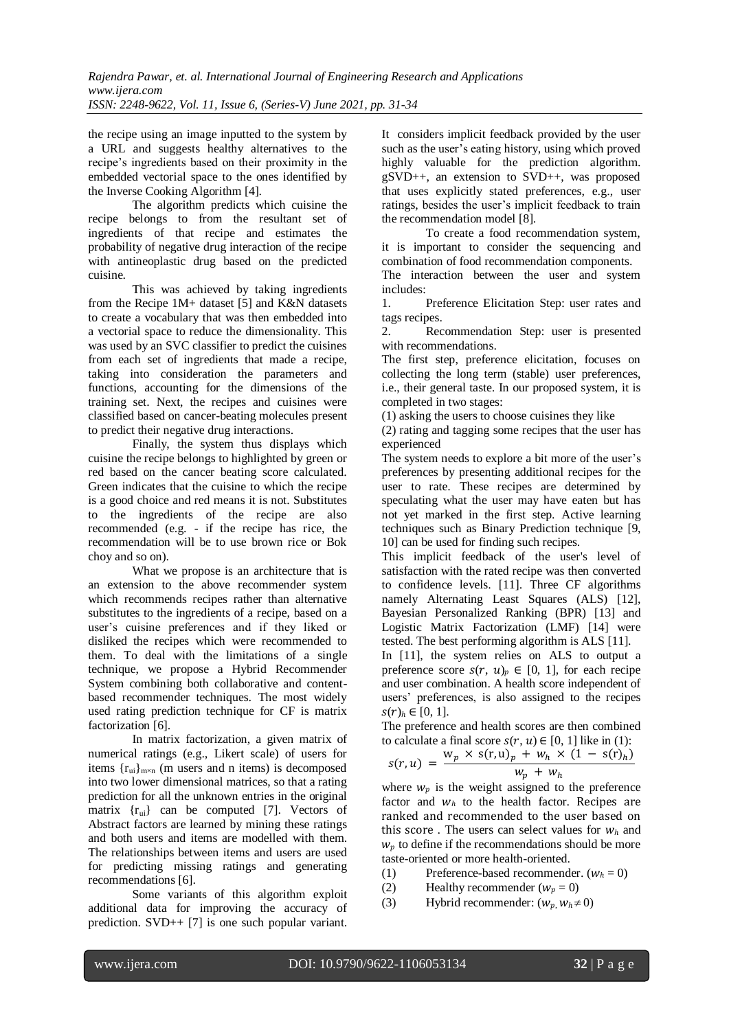the recipe using an image inputted to the system by a URL and suggests healthy alternatives to the recipe's ingredients based on their proximity in the embedded vectorial space to the ones identified by the Inverse Cooking Algorithm [4].

The algorithm predicts which cuisine the recipe belongs to from the resultant set of ingredients of that recipe and estimates the probability of negative drug interaction of the recipe with antineoplastic drug based on the predicted cuisine.

This was achieved by taking ingredients from the Recipe 1M+ dataset [5] and K&N datasets to create a vocabulary that was then embedded into a vectorial space to reduce the dimensionality. This was used by an SVC classifier to predict the cuisines from each set of ingredients that made a recipe, taking into consideration the parameters and functions, accounting for the dimensions of the training set. Next, the recipes and cuisines were classified based on cancer-beating molecules present to predict their negative drug interactions.

Finally, the system thus displays which cuisine the recipe belongs to highlighted by green or red based on the cancer beating score calculated. Green indicates that the cuisine to which the recipe is a good choice and red means it is not. Substitutes to the ingredients of the recipe are also recommended (e.g. - if the recipe has rice, the recommendation will be to use brown rice or Bok choy and so on).

What we propose is an architecture that is an extension to the above recommender system which recommends recipes rather than alternative substitutes to the ingredients of a recipe, based on a user's cuisine preferences and if they liked or disliked the recipes which were recommended to them. To deal with the limitations of a single technique, we propose a Hybrid Recommender System combining both collaborative and contentbased recommender techniques. The most widely used rating prediction technique for CF is matrix factorization [6].

In matrix factorization, a given matrix of numerical ratings (e.g., Likert scale) of users for items  ${r_{ui}}_{m \times n}$  (m users and n items) is decomposed into two lower dimensional matrices, so that a rating prediction for all the unknown entries in the original matrix  $\{r_{\rm ui}\}\$  can be computed [7]. Vectors of Abstract factors are learned by mining these ratings and both users and items are modelled with them. The relationships between items and users are used for predicting missing ratings and generating recommendations [6].

Some variants of this algorithm exploit additional data for improving the accuracy of prediction. SVD++ [7] is one such popular variant. It considers implicit feedback provided by the user such as the user's eating history, using which proved highly valuable for the prediction algorithm. gSVD++, an extension to SVD++, was proposed that uses explicitly stated preferences, e.g., user ratings, besides the user's implicit feedback to train the recommendation model [8].

To create a food recommendation system, it is important to consider the sequencing and combination of food recommendation components.

The interaction between the user and system includes:

1. Preference Elicitation Step: user rates and tags recipes.

2. Recommendation Step: user is presented with recommendations.

The first step, preference elicitation, focuses on collecting the long term (stable) user preferences, i.e., their general taste. In our proposed system, it is completed in two stages:

(1) asking the users to choose cuisines they like

(2) rating and tagging some recipes that the user has experienced

The system needs to explore a bit more of the user's preferences by presenting additional recipes for the user to rate. These recipes are determined by speculating what the user may have eaten but has not yet marked in the first step. Active learning techniques such as Binary Prediction technique [9, 10] can be used for finding such recipes.

This implicit feedback of the user's level of satisfaction with the rated recipe was then converted to confidence levels. [11]. Three CF algorithms namely Alternating Least Squares (ALS) [12], Bayesian Personalized Ranking (BPR) [13] and Logistic Matrix Factorization (LMF) [14] were tested. The best performing algorithm is ALS [11].

In [11], the system relies on ALS to output a preference score  $s(r, u)_n \in [0, 1]$ , for each recipe and user combination. A health score independent of users' preferences, is also assigned to the recipes  $s(r)_h \in [0, 1].$ 

The preference and health scores are then combined to calculate a final score  $s(r, u) \in [0, 1]$  like in (1):

$$
s(r, u) = \frac{w_p \times s(r, u)_p + w_h \times (1 - s(r)_h)}{w_p + w_h}
$$

where  $w_p$  is the weight assigned to the preference factor and  $w_h$  to the health factor. Recipes are ranked and recommended to the user based on this score. The users can select values for  $w_h$  and  $w<sub>n</sub>$  to define if the recommendations should be more taste-oriented or more health-oriented.

- (1) Preference-based recommender.  $(w_h = 0)$
- (2) Healthy recommender  $(w_p = 0)$
- (3) Hybrid recommender:  $(w_p, w_h \neq 0)$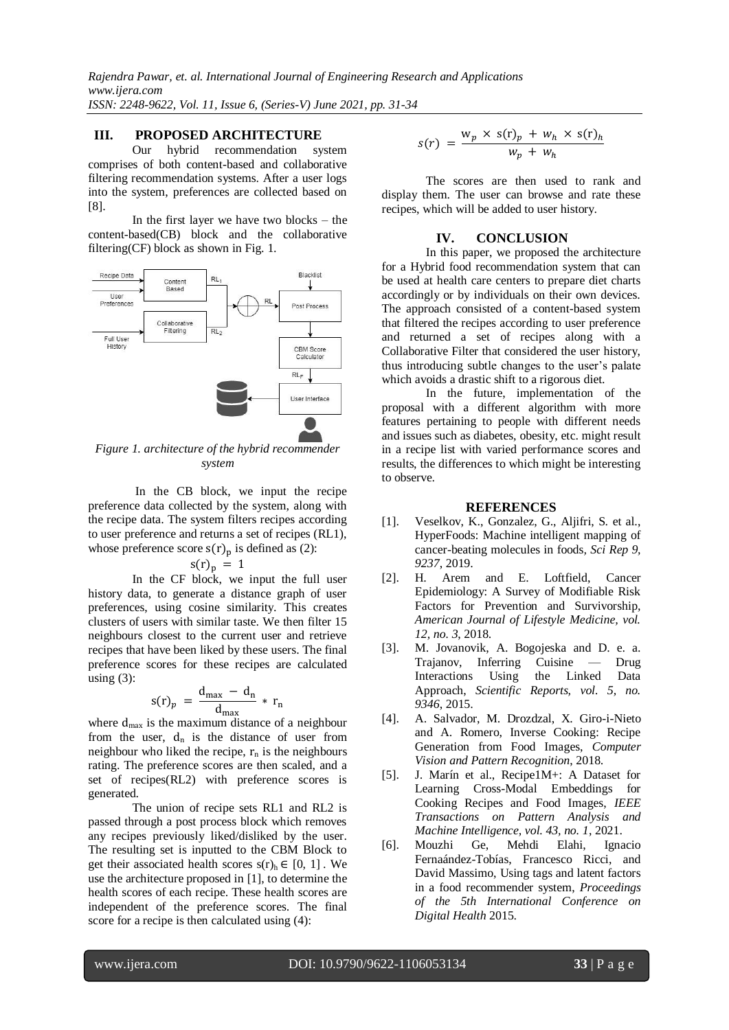*Rajendra Pawar, et. al. International Journal of Engineering Research and Applications www.ijera.com ISSN: 2248-9622, Vol. 11, Issue 6, (Series-V) June 2021, pp. 31-34*

## **III. PROPOSED ARCHITECTURE**

Our hybrid recommendation system comprises of both content-based and collaborative filtering recommendation systems. After a user logs into the system, preferences are collected based on [8].

 In the first layer we have two blocks – the content-based(CB) block and the collaborative filtering(CF) block as shown in Fig. 1.



*Figure 1. architecture of the hybrid recommender system*

In the CB block, we input the recipe preference data collected by the system, along with the recipe data. The system filters recipes according to user preference and returns a set of recipes (RL1), whose preference score  $s(r)$ <sub>n</sub> is defined as (2):

$$
s(r)_p = 1
$$

 In the CF block, we input the full user history data, to generate a distance graph of user preferences, using cosine similarity. This creates clusters of users with similar taste. We then filter 15 neighbours closest to the current user and retrieve recipes that have been liked by these users. The final preference scores for these recipes are calculated using  $(3)$ :

$$
s(r)_p = \frac{d_{\text{max}} - d_n}{d_{\text{max}}} * r
$$

where  $d_{\text{max}}$  is the maximum distance of a neighbour from the user,  $d_n$  is the distance of user from neighbour who liked the recipe,  $r_n$  is the neighbours rating. The preference scores are then scaled, and a set of recipes(RL2) with preference scores is generated.

 The union of recipe sets RL1 and RL2 is passed through a post process block which removes any recipes previously liked/disliked by the user. The resulting set is inputted to the CBM Block to get their associated health scores  $s(r)_h \in [0, 1]$ . We use the architecture proposed in [1], to determine the health scores of each recipe. These health scores are independent of the preference scores. The final score for a recipe is then calculated using (4):

$$
s(r) = \frac{w_p \times s(r)_p + w_h \times s(r)_h}{w_p + w_h}
$$

The scores are then used to rank and display them. The user can browse and rate these recipes, which will be added to user history.

## **IV. CONCLUSION**

In this paper, we proposed the architecture for a Hybrid food recommendation system that can be used at health care centers to prepare diet charts accordingly or by individuals on their own devices. The approach consisted of a content-based system that filtered the recipes according to user preference and returned a set of recipes along with a Collaborative Filter that considered the user history, thus introducing subtle changes to the user's palate which avoids a drastic shift to a rigorous diet.

In the future, implementation of the proposal with a different algorithm with more features pertaining to people with different needs and issues such as diabetes, obesity, etc. might result in a recipe list with varied performance scores and results, the differences to which might be interesting to observe.

#### **REFERENCES**

- [1]. Veselkov, K., Gonzalez, G., Aljifri, S. et al., HyperFoods: Machine intelligent mapping of cancer-beating molecules in foods*, Sci Rep 9, 9237*, 2019.
- [2]. H. Arem and E. Loftfield, Cancer Epidemiology: A Survey of Modifiable Risk Factors for Prevention and Survivorship*, American Journal of Lifestyle Medicine, vol. 12, no. 3*, 2018.
- [3]. M. Jovanovik, A. Bogojeska and D. e. a. Trajanov, Inferring Cuisine — Drug Interactions Using the Linked Data Approach, *Scientific Reports, vol. 5, no. 9346*, 2015.
- [4]. A. Salvador, M. Drozdzal, X. Giro-i-Nieto and A. Romero, Inverse Cooking: Recipe Generation from Food Images, *Computer Vision and Pattern Recognition*, 2018.
- [5]. J. Marín et al., Recipe1M+: A Dataset for Learning Cross-Modal Embeddings for Cooking Recipes and Food Images, *IEEE Transactions on Pattern Analysis and Machine Intelligence, vol. 43, no. 1*, 2021.
- [6]. Mouzhi Ge, Mehdi Elahi, Ignacio Fernaández-Tobías, Francesco Ricci, and David Massimo, Using tags and latent factors in a food recommender system, *Proceedings of the 5th International Conference on Digital Health* 2015.